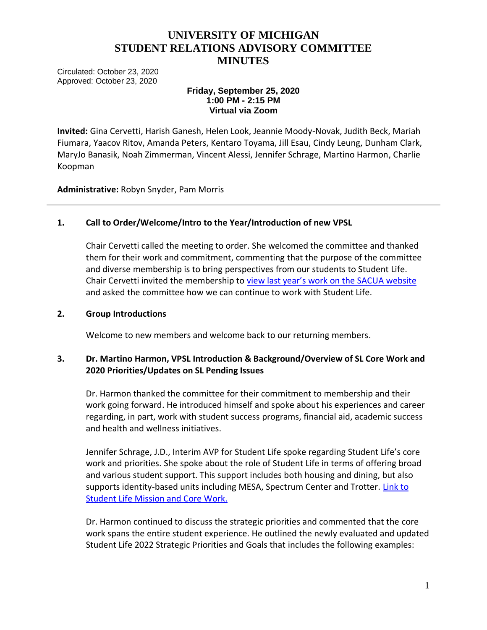# **UNIVERSITY OF MICHIGAN STUDENT RELATIONS ADVISORY COMMITTEE MINUTES**

Circulated: October 23, 2020 Approved: October 23, 2020

### **Friday, September 25, 2020 1:00 PM - 2:15 PM Virtual via Zoom**

**Invited:** Gina Cervetti, Harish Ganesh, Helen Look, Jeannie Moody-Novak, Judith Beck, Mariah Fiumara, Yaacov Ritov, Amanda Peters, Kentaro Toyama, Jill Esau, Cindy Leung, Dunham Clark, MaryJo Banasik, Noah Zimmerman, Vincent Alessi, Jennifer Schrage, Martino Harmon, Charlie Koopman

**Administrative:** Robyn Snyder, Pam Morris

## **1. Call to Order/Welcome/Intro to the Year/Introduction of new VPSL**

Chair Cervetti called the meeting to order. She welcomed the committee and thanked them for their work and commitment, commenting that the purpose of the committee and diverse membership is to bring perspectives from our students to Student Life. Chair Cervetti invited the membership to view last year's work [on the SACUA website](https://facultysenate.umich.edu/wp-content/uploads/2020/08/SRAC-Report-2019-2020.pdf) and asked the committee how we can continue to work with Student Life.

### **2. Group Introductions**

Welcome to new members and welcome back to our returning members.

## **3. Dr. Martino Harmon, VPSL Introduction & Background/Overview of SL Core Work and 2020 Priorities/Updates on SL Pending Issues**

Dr. Harmon thanked the committee for their commitment to membership and their work going forward. He introduced himself and spoke about his experiences and career regarding, in part, work with student success programs, financial aid, academic success and health and wellness initiatives.

Jennifer Schrage, J.D., Interim AVP for Student Life spoke regarding Student Life's core work and priorities. She spoke about the role of Student Life in terms of offering broad and various student support. This support includes both housing and dining, but also supports identity-based units including MESA, Spectrum Center and Trotter. Link to [Student Life Mission and Core Work.](https://studentlife.umich.edu/article/mission-core-work)

Dr. Harmon continued to discuss the strategic priorities and commented that the core work spans the entire student experience. He outlined the newly evaluated and updated Student Life 2022 Strategic Priorities and Goals that includes the following examples: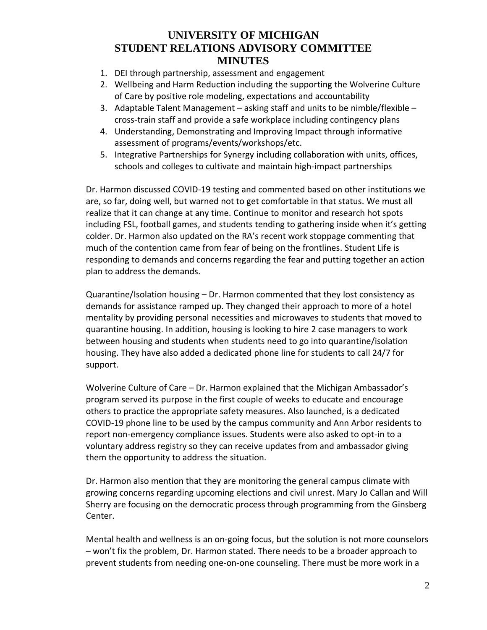# **UNIVERSITY OF MICHIGAN STUDENT RELATIONS ADVISORY COMMITTEE MINUTES**

- 1. DEI through partnership, assessment and engagement
- 2. Wellbeing and Harm Reduction including the supporting the Wolverine Culture of Care by positive role modeling, expectations and accountability
- 3. Adaptable Talent Management asking staff and units to be nimble/flexible cross-train staff and provide a safe workplace including contingency plans
- 4. Understanding, Demonstrating and Improving Impact through informative assessment of programs/events/workshops/etc.
- 5. Integrative Partnerships for Synergy including collaboration with units, offices, schools and colleges to cultivate and maintain high-impact partnerships

Dr. Harmon discussed COVID-19 testing and commented based on other institutions we are, so far, doing well, but warned not to get comfortable in that status. We must all realize that it can change at any time. Continue to monitor and research hot spots including FSL, football games, and students tending to gathering inside when it's getting colder. Dr. Harmon also updated on the RA's recent work stoppage commenting that much of the contention came from fear of being on the frontlines. Student Life is responding to demands and concerns regarding the fear and putting together an action plan to address the demands.

Quarantine/Isolation housing – Dr. Harmon commented that they lost consistency as demands for assistance ramped up. They changed their approach to more of a hotel mentality by providing personal necessities and microwaves to students that moved to quarantine housing. In addition, housing is looking to hire 2 case managers to work between housing and students when students need to go into quarantine/isolation housing. They have also added a dedicated phone line for students to call 24/7 for support.

Wolverine Culture of Care – Dr. Harmon explained that the Michigan Ambassador's program served its purpose in the first couple of weeks to educate and encourage others to practice the appropriate safety measures. Also launched, is a dedicated COVID-19 phone line to be used by the campus community and Ann Arbor residents to report non-emergency compliance issues. Students were also asked to opt-in to a voluntary address registry so they can receive updates from and ambassador giving them the opportunity to address the situation.

Dr. Harmon also mention that they are monitoring the general campus climate with growing concerns regarding upcoming elections and civil unrest. Mary Jo Callan and Will Sherry are focusing on the democratic process through programming from the Ginsberg Center.

Mental health and wellness is an on-going focus, but the solution is not more counselors – won't fix the problem, Dr. Harmon stated. There needs to be a broader approach to prevent students from needing one-on-one counseling. There must be more work in a